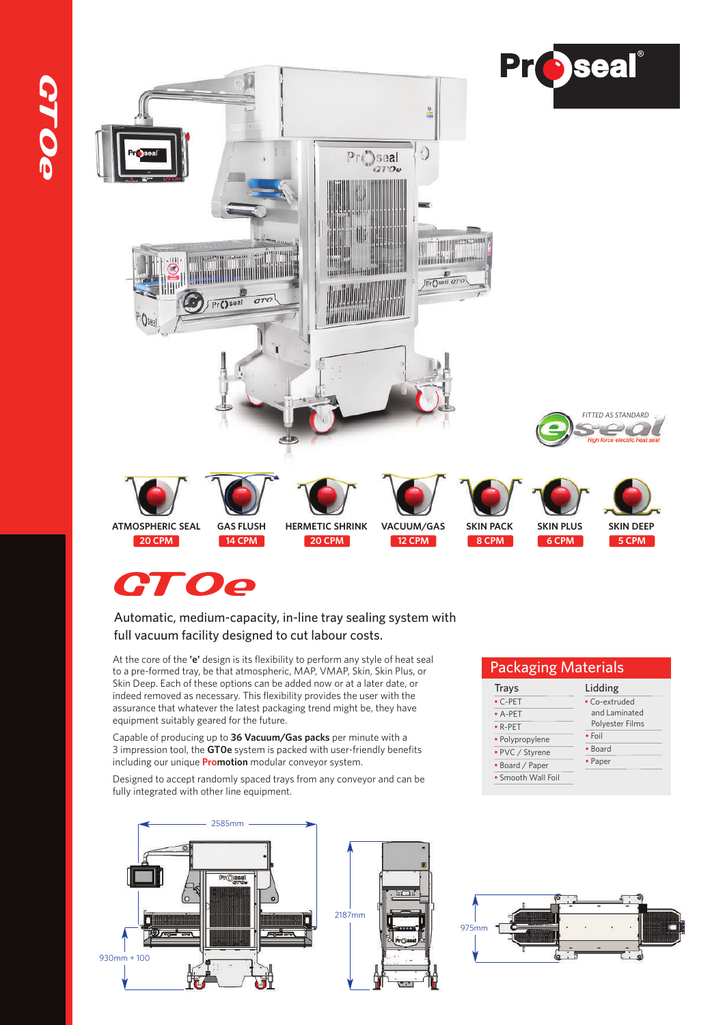



#### Automatic, medium-capacity, in-line tray sealing system with full vacuum facility designed to cut labour costs.

At the core of the **'e'** design is its flexibility to perform any style of heat seal to a pre-formed tray, be that atmospheric, MAP, VMAP, Skin, Skin Plus, or Skin Deep. Each of these options can be added now or at a later date, or indeed removed as necessary. This flexibility provides the user with the assurance that whatever the latest packaging trend might be, they have equipment suitably geared for the future.

Capable of producing up to **36 Vacuum/Gas packs** per minute with a 3 impression tool, the **GT0e** system is packed with user-friendly benefits including our unique **Promotion** modular conveyor system.

Designed to accept randomly spaced trays from any conveyor and can be fully integrated with other line equipment.



#### Packaging Materials

| Trays              | Lidding         |
|--------------------|-----------------|
| $-C-PET$           | • Co-extruded   |
| $-A-PET$           | and Laminated   |
| $\bullet$ R-PET    | Polyester Films |
| · Polypropylene    | $\bullet$ Foil  |
| • PVC / Styrene    | • Board         |
| • Board / Paper    | • Paper         |
| • Smooth Wall Foil |                 |